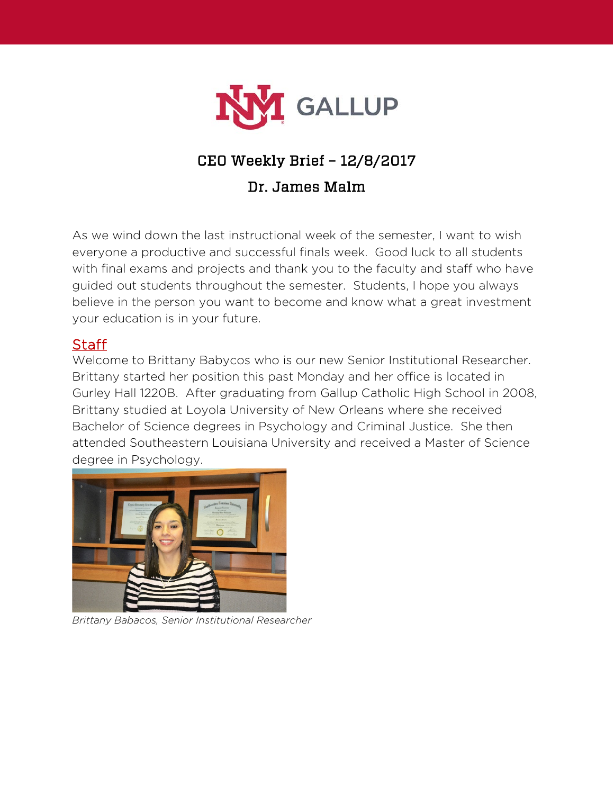

# CEO Weekly Brief – 12/8/2017

# Dr. James Malm

As we wind down the last instructional week of the semester, I want to wish everyone a productive and successful finals week. Good luck to all students with final exams and projects and thank you to the faculty and staff who have guided out students throughout the semester. Students, I hope you always believe in the person you want to become and know what a great investment your education is in your future.

### **Staff**

Welcome to Brittany Babycos who is our new Senior Institutional Researcher. Brittany started her position this past Monday and her office is located in Gurley Hall 1220B. After graduating from Gallup Catholic High School in 2008, Brittany studied at Loyola University of New Orleans where she received Bachelor of Science degrees in Psychology and Criminal Justice. She then attended Southeastern Louisiana University and received a Master of Science degree in Psychology.



*Brittany Babacos, Senior Institutional Researcher*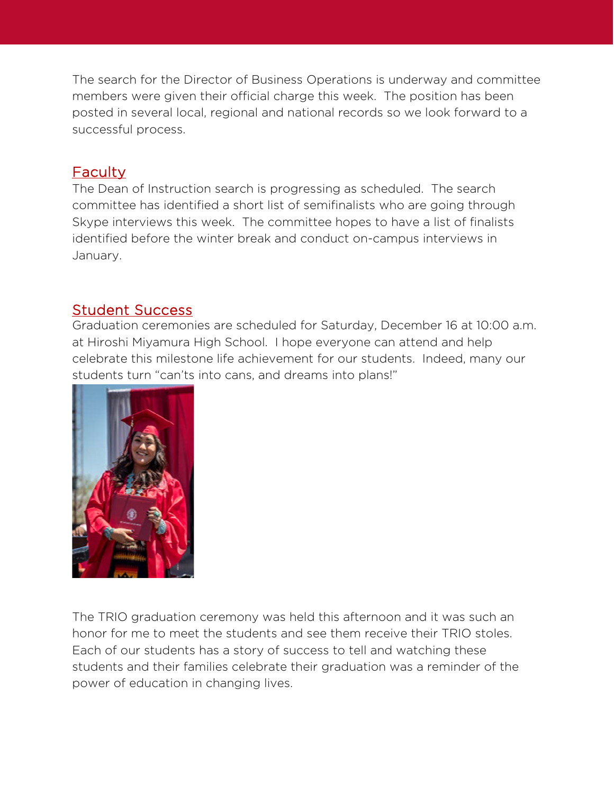The search for the Director of Business Operations is underway and committee members were given their official charge this week. The position has been posted in several local, regional and national records so we look forward to a successful process.

# **Faculty**

The Dean of Instruction search is progressing as scheduled. The search committee has identified a short list of semifinalists who are going through Skype interviews this week. The committee hopes to have a list of finalists identified before the winter break and conduct on-campus interviews in January.

# Student Success

Graduation ceremonies are scheduled for Saturday, December 16 at 10:00 a.m. at Hiroshi Miyamura High School. I hope everyone can attend and help celebrate this milestone life achievement for our students. Indeed, many our students turn "can'ts into cans, and dreams into plans!"



The TRIO graduation ceremony was held this afternoon and it was such an honor for me to meet the students and see them receive their TRIO stoles. Each of our students has a story of success to tell and watching these students and their families celebrate their graduation was a reminder of the power of education in changing lives.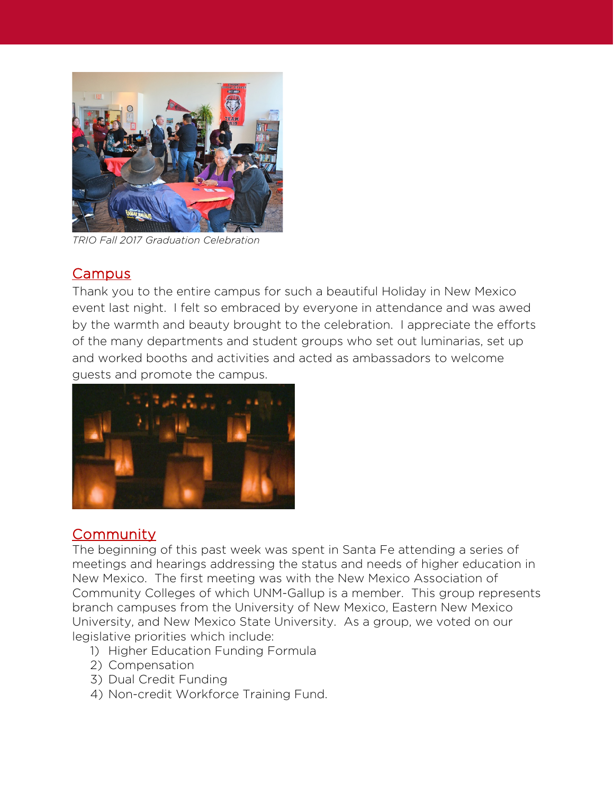

*TRIO Fall 2017 Graduation Celebration*

#### **Campus**

Thank you to the entire campus for such a beautiful Holiday in New Mexico event last night. I felt so embraced by everyone in attendance and was awed by the warmth and beauty brought to the celebration. I appreciate the efforts of the many departments and student groups who set out luminarias, set up and worked booths and activities and acted as ambassadors to welcome guests and promote the campus.



### **Community**

The beginning of this past week was spent in Santa Fe attending a series of meetings and hearings addressing the status and needs of higher education in New Mexico. The first meeting was with the New Mexico Association of Community Colleges of which UNM-Gallup is a member. This group represents branch campuses from the University of New Mexico, Eastern New Mexico University, and New Mexico State University. As a group, we voted on our legislative priorities which include:

- 1) Higher Education Funding Formula
- 2) Compensation
- 3) Dual Credit Funding
- 4) Non-credit Workforce Training Fund.